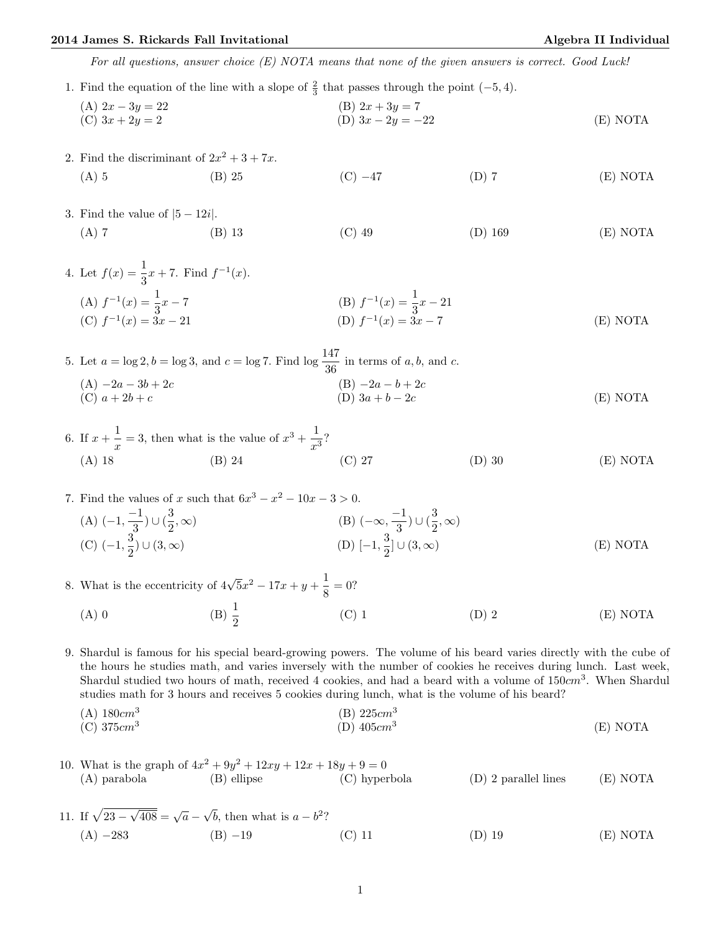## 2014 James S. Rickards Fall Invitational Algebra II Individual Algebra II Individual

For all questions, answer choice (E) NOTA means that none of the given answers is correct. Good Luck!

- 1. Find the equation of the line with a slope of  $\frac{2}{3}$  that passes through the point (-5, 4).
	- (A)  $2x 3y = 22$  (B)  $2x + 3y = 7$ (C)  $3x + 2y = 2$  (D)  $3x - 2y = -22$  (E) NOTA
- 2. Find the discriminant of  $2x^2 + 3 + 7x$ . (A) 5 (B) 25 (C)  $-47$  (D) 7 (E) NOTA
- 3. Find the value of  $|5 12i|$ . (A) 7 (B) 13 (C) 49 (D) 169 (E) NOTA

4. Let 
$$
f(x) = \frac{1}{3}x + 7
$$
. Find  $f^{-1}(x)$ .  
\n(A)  $f^{-1}(x) = \frac{1}{3}x - 7$   
\n(B)  $f^{-1}(x) = \frac{1}{3}x - 21$   
\n(C)  $f^{-1}(x) = 3x - 21$   
\n(D)  $f^{-1}(x) = 3x - 7$   
\n(E) NOTA

5. Let  $a = \log 2$ ,  $b = \log 3$ , and  $c = \log 7$ . Find  $\log \frac{147}{36}$  in terms of a, b, and c. (A)  $-2a - 3b + 2c$  (B)  $-2a - b + 2c$ (C)  $a + 2b + c$  (D)  $3a + b - 2c$  (E) NOTA

- 6. If  $x + \frac{1}{x}$  $\frac{1}{x}$  = 3, then what is the value of  $x^3 + \frac{1}{x^3}$  $\frac{1}{x^3}$ ? (A) 18 (B) 24 (C) 27 (D) 30 (E) NOTA
- 7. Find the values of x such that  $6x^3 x^2 10x 3 > 0$ .  $(A)$   $\left(-1, \frac{-1}{2}\right)$  $\frac{-1}{3})\cup(\frac{3}{2})$ 2 , ∞)  $(B)$   $(-\infty, \frac{-1}{2})$  $\frac{-1}{3})\cup(\frac{3}{2})$  $\frac{3}{2}, \infty)$  $(C)$   $(-1, \frac{3}{2})$  $\frac{1}{2}$ ) ∪ (3, ∞) (D) [-1, 3  $\frac{1}{2}$ ] ∪ (3, ∞) (E) NOTA
- 8. What is the eccentricity of  $4\sqrt{5}x^2 17x + y + \frac{1}{2}$  $\frac{1}{8} = 0?$

(A) 0 (B)  $\frac{1}{2}$ (C) 1 (D) 2 (E) NOTA

9. Shardul is famous for his special beard-growing powers. The volume of his beard varies directly with the cube of the hours he studies math, and varies inversely with the number of cookies he receives during lunch. Last week, Shardul studied two hours of math, received 4 cookies, and had a beard with a volume of  $150cm<sup>3</sup>$ . When Shardul studies math for 3 hours and receives 5 cookies during lunch, what is the volume of his beard?

 $(A) 180cm<sup>3</sup>$  $(B) 225 cm<sup>3</sup>$  $(C) 375 cm<sup>3</sup>$  $(D)$  405 $cm<sup>3</sup>$ (E) NOTA

10. What is the graph of  $4x^2 + 9y^2 + 12xy + 12x + 18y + 9 = 0$ (A) parabola (B) ellipse (C) hyperbola (D) 2 parallel lines (E) NOTA

11. If  $\sqrt{23}$  –  $\sqrt{408} = \sqrt{a}$ √  $\overline{b}$ , then what is  $a - b^2$ ? (A) −283 (B) −19 (C) 11 (D) 19 (E) NOTA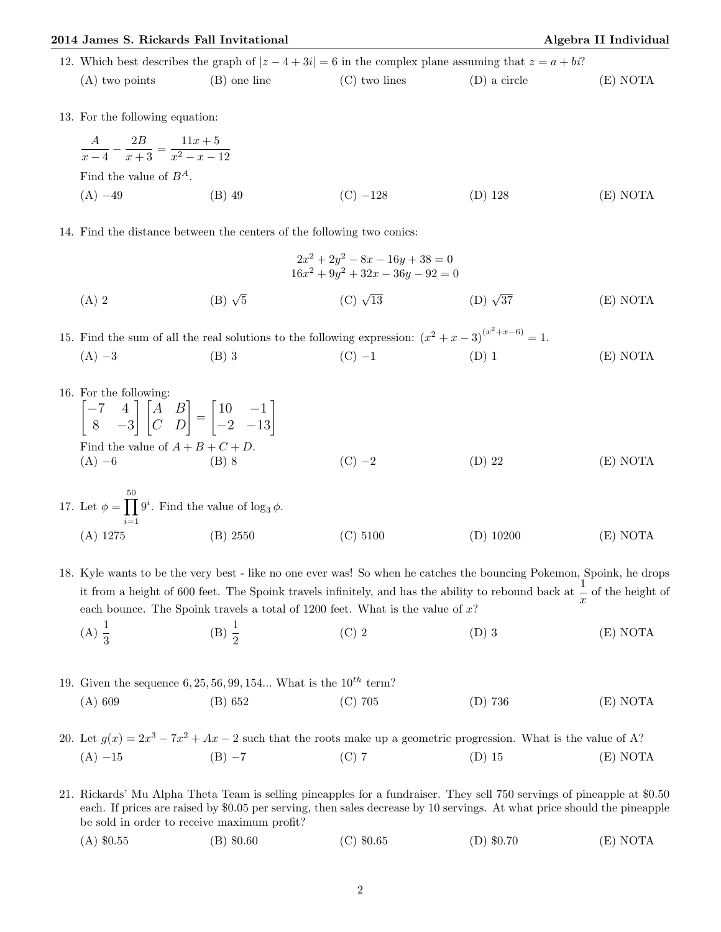## 2014 James S. Rickards Fall Invitational Algebra II Individual Algebra II Individual

|  | 12. Which best describes the graph of $ z-4+3i =6$ in the complex plane assuming that $z=a+bi$ ? |              |                 |              |          |
|--|--------------------------------------------------------------------------------------------------|--------------|-----------------|--------------|----------|
|  | (A) two points                                                                                   | (B) one line | $(C)$ two lines | (D) a circle | E) NOTA  |
|  | 13. For the following equation:                                                                  |              |                 |              |          |
|  | $\frac{A}{x-4} - \frac{2B}{x+3} = \frac{11x+5}{x^2-x-12}$<br>Find the value of $B^A$ .           |              |                 |              |          |
|  |                                                                                                  |              |                 |              |          |
|  | $(A) -49$                                                                                        | (B) 49       | $(C) -128$      | (D) 128      | (E) NOTA |

14. Find the distance between the centers of the following two conics:

$$
2x^{2} + 2y^{2} - 8x - 16y + 38 = 0
$$
  
\n
$$
16x^{2} + 9y^{2} + 32x - 36y - 92 = 0
$$
  
\n(A) 2  
\n(B)  $\sqrt{5}$   
\n(C)  $\sqrt{13}$   
\n(D)  $\sqrt{37}$   
\n(E) NOTA

15. Find the sum of all the real solutions to the following expression:  $(x^2 + x - 3)^{(x^2 + x - 6)} = 1$ . (A) −3 (B) 3 (C) −1 (D) 1 (E) NOTA

16. For the following:

$$
\begin{bmatrix} -7 & 4 \\ 8 & -3 \end{bmatrix} \begin{bmatrix} A & B \\ C & D \end{bmatrix} = \begin{bmatrix} 10 & -1 \\ -2 & -13 \end{bmatrix}
$$
  
Find the value of  $A + B + C + D$ .  
(A) -6 (B) 8 (C) -2 (D) 22 (E) NOTA

17. Let 
$$
\phi = \prod_{i=1}^{50} 9^i
$$
. Find the value of  $\log_3 \phi$ .  
\n(A) 1275 (B) 2550 (C) 5100 (D) 10200 (E) NOTA

18. Kyle wants to be the very best - like no one ever was! So when he catches the bouncing Pokemon, Spoink, he drops it from a height of 600 feet. The Spoink travels infinitely, and has the ability to rebound back at  $\frac{1}{x}$  of the height of each bounce. The Spoink travels a total of  $1200$  feet. What is the value of  $x$ ?

(A)  $\frac{1}{3}$ (B)  $\frac{1}{2}$ (C) 2 (D) 3 (E) NOTA

19. Given the sequence 6, 25, 56, 99, 154... What is the 
$$
10^{th}
$$
 term?  
\n(A) 609 (B) 652 (C) 705 (D) 736 (E) NOTA

20. Let  $g(x) = 2x^3 - 7x^2 + Ax - 2$  such that the roots make up a geometric progression. What is the value of A? (A) −15 (B) −7 (C) 7 (D) 15 (E) NOTA

21. Rickards' Mu Alpha Theta Team is selling pineapples for a fundraiser. They sell 750 servings of pineapple at \$0.50 each. If prices are raised by \$0.05 per serving, then sales decrease by 10 servings. At what price should the pineapple be sold in order to receive maximum profit?

(A) \$0.55 (B) \$0.60 (C) \$0.65 (D) \$0.70 (E) NOTA